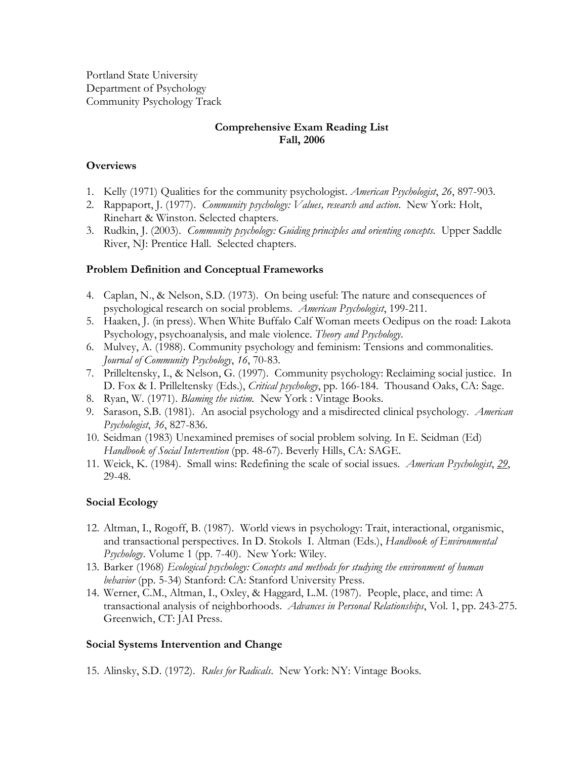Portland State University Department of Psychology Community Psychology Track

# **Comprehensive Exam Reading List Fall, 2006**

# **Overviews**

- 1. Kelly (1971) Qualities for the community psychologist. *American Psychologist*, *26*, 897-903.
- 2. Rappaport, J. (1977). *Community psychology: Values, research and action*. New York: Holt, Rinehart & Winston. Selected chapters.
- 3. Rudkin, J. (2003). *Community psychology: Guiding principles and orienting concepts.* Upper Saddle River, NJ: Prentice Hall. Selected chapters.

# **Problem Definition and Conceptual Frameworks**

- 4. Caplan, N., & Nelson, S.D. (1973). On being useful: The nature and consequences of psychological research on social problems. *American Psychologist*, 199-211.
- 5. Haaken, J. (in press). When White Buffalo Calf Woman meets Oedipus on the road: Lakota Psychology, psychoanalysis, and male violence. *Theory and Psychology*.
- 6. Mulvey, A. (1988). Community psychology and feminism: Tensions and commonalities. *Journal of Community Psychology*, *16*, 70-83.
- 7. Prilleltensky, I., & Nelson, G. (1997). Community psychology: Reclaiming social justice. In D. Fox & I. Prilleltensky (Eds.), *Critical psychology*, pp. 166-184. Thousand Oaks, CA: Sage.
- 8. Ryan, W. (1971). *Blaming the victim.* New York : Vintage Books.
- 9. Sarason, S.B. (1981). An asocial psychology and a misdirected clinical psychology. *American Psychologist*, *36*, 827-836.
- 10. Seidman (1983) Unexamined premises of social problem solving. In E. Seidman (Ed) *Handbook of Social Intervention* (pp. 48-67). Beverly Hills, CA: SAGE.
- 11. Weick, K. (1984). Small wins: Redefining the scale of social issues. *American Psychologist*, *29*, 29-48.

# **Social Ecology**

- 12. Altman, I., Rogoff, B. (1987). World views in psychology: Trait, interactional, organismic, and transactional perspectives. In D. Stokols I. Altman (Eds.), *Handbook of Environmental Psychology*. Volume 1 (pp. 7-40). New York: Wiley.
- 13. Barker (1968) *Ecological psychology: Concepts and methods for studying the environment of human behavior* (pp. 5-34) Stanford: CA: Stanford University Press.
- 14. Werner, C.M., Altman, I., Oxley, & Haggard, L.M. (1987). People, place, and time: A transactional analysis of neighborhoods. *Advances in Personal Relationships*, Vol. 1, pp. 243-275. Greenwich, CT: JAI Press.

### **Social Systems Intervention and Change**

15. Alinsky, S.D. (1972). *Rules for Radicals*. New York: NY: Vintage Books.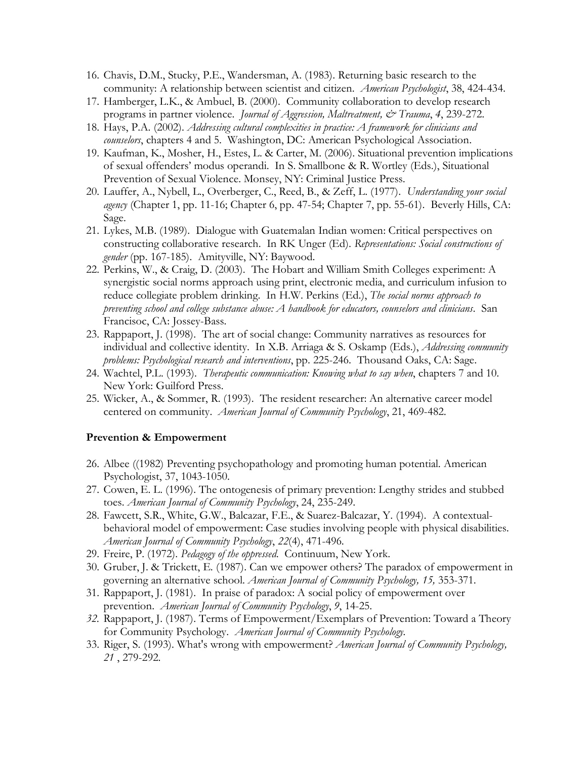- 16. Chavis, D.M., Stucky, P.E., Wandersman, A. (1983). Returning basic research to the community: A relationship between scientist and citizen. *American Psychologist*, 38, 424-434.
- 17. Hamberger, L.K., & Ambuel, B. (2000). Community collaboration to develop research programs in partner violence. *Journal of Aggression, Maltreatment, & Trauma*, *4*, 239-272.
- 18. Hays, P.A. (2002). *Addressing cultural complexities in practice: A framework for clinicians and counselors*, chapters 4 and 5. Washington, DC: American Psychological Association.
- 19. Kaufman, K., Mosher, H., Estes, L. & Carter, M. (2006). Situational prevention implications of sexual offenders' modus operandi. In S. Smallbone & R. Wortley (Eds.), Situational Prevention of Sexual Violence. Monsey, NY: Criminal Justice Press.
- 20. Lauffer, A., Nybell, L., Overberger, C., Reed, B., & Zeff, L. (1977). *Understanding your social agency* (Chapter 1, pp. 11-16; Chapter 6, pp. 47-54; Chapter 7, pp. 55-61). Beverly Hills, CA: Sage.
- 21. Lykes, M.B. (1989). Dialogue with Guatemalan Indian women: Critical perspectives on constructing collaborative research. In RK Unger (Ed). *Representations: Social constructions of gender* (pp. 167-185). Amityville, NY: Baywood.
- 22. Perkins, W., & Craig, D. (2003). The Hobart and William Smith Colleges experiment: A synergistic social norms approach using print, electronic media, and curriculum infusion to reduce collegiate problem drinking. In H.W. Perkins (Ed.), *The social norms approach to preventing school and college substance abuse: A handbook for educators, counselors and clinicians*. San Francisoc, CA: Jossey-Bass.
- 23. Rappaport, J. (1998). The art of social change: Community narratives as resources for individual and collective identity. In X.B. Arriaga & S. Oskamp (Eds.), *Addressing community problems: Psychological research and interventions*, pp. 225-246. Thousand Oaks, CA: Sage.
- 24. Wachtel, P.L. (1993). *Therapeutic communication: Knowing what to say when*, chapters 7 and 10. New York: Guilford Press.
- 25. Wicker, A., & Sommer, R. (1993). The resident researcher: An alternative career model centered on community. *American Journal of Community Psychology*, 21, 469-482.

### **Prevention & Empowerment**

- 26. Albee ((1982) Preventing psychopathology and promoting human potential. American Psychologist, 37, 1043-1050.
- 27. Cowen, E. L. (1996). The ontogenesis of primary prevention: Lengthy strides and stubbed toes. *American Journal of Community Psychology*, 24, 235-249.
- 28. Fawcett, S.R., White, G.W., Balcazar, F.E., & Suarez-Balcazar, Y. (1994). A contextualbehavioral model of empowerment: Case studies involving people with physical disabilities. *American Journal of Community Psychology*, *22*(4), 471-496.
- 29. Freire, P. (1972). *Pedagogy of the oppressed*. Continuum, New York.
- 30. Gruber, J. & Trickett, E. (1987). Can we empower others? The paradox of empowerment in governing an alternative school. *American Journal of Community Psychology, 15,* 353-371.
- 31. Rappaport, J. (1981). In praise of paradox: A social policy of empowerment over prevention. *American Journal of Community Psychology*, *9*, 14-25.
- *32.* Rappaport, J. (1987). Terms of Empowerment/Exemplars of Prevention: Toward a Theory for Community Psychology. *American Journal of Community Psychology.*
- 33. Riger, S. (1993). What's wrong with empowerment? *American Journal of Community Psychology, 21* , 279-292.